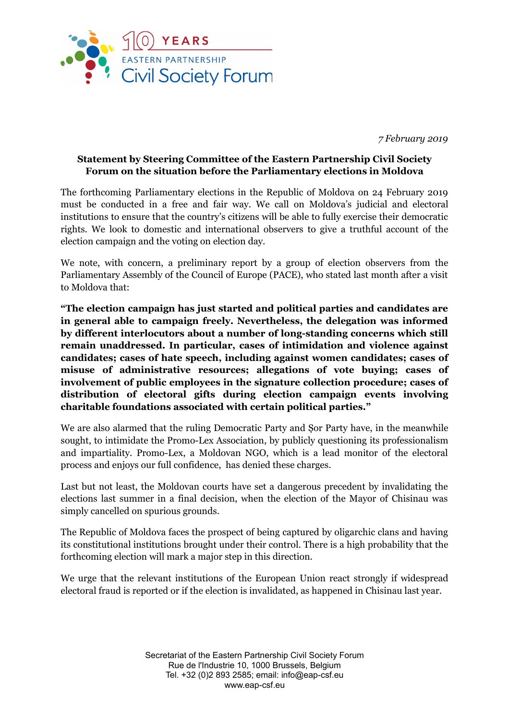

*7 February 2019*

## **Statement by Steering Committee of the Eastern Partnership Civil Society Forum on the situation before the Parliamentary elections in Moldova**

The forthcoming Parliamentary elections in the Republic of Moldova on 24 February 2019 must be conducted in a free and fair way. We call on Moldova's judicial and electoral institutions to ensure that the country's citizens will be able to fully exercise their democratic rights. We look to domestic and international observers to give a truthful account of the election campaign and the voting on election day.

We note, with concern, a preliminary report by a group of election observers from the Parliamentary Assembly of the Council of Europe (PACE), who stated last month after a visit to Moldova that:

**"The election campaign has just started and political parties and candidates are in general able to campaign freely. Nevertheless, the delegation was informed by different interlocutors about a number of long-standing concerns which still remain unaddressed. In particular, cases of intimidation and violence against candidates; cases of hate speech, including against women candidates; cases of misuse of administrative resources; allegations of vote buying; cases of involvement of public employees in the signature collection procedure; cases of distribution of electoral gifts during election campaign events involving charitable foundations associated with certain political parties."**

We are also alarmed that the ruling Democratic Party and Șor Party have, in the meanwhile sought, to intimidate the Promo-Lex Association, by publicly questioning its professionalism and impartiality. Promo-Lex, a Moldovan NGO, which is a lead monitor of the electoral process and enjoys our full confidence, has denied these charges.

Last but not least, the Moldovan courts have set a dangerous precedent by invalidating the elections last summer in a final decision, when the election of the Mayor of Chisinau was simply cancelled on spurious grounds.

The Republic of Moldova faces the prospect of being captured by oligarchic clans and having its constitutional institutions brought under their control. There is a high probability that the forthcoming election will mark a major step in this direction.

We urge that the relevant institutions of the European Union react strongly if widespread electoral fraud is reported or if the election is invalidated, as happened in Chisinau last year.